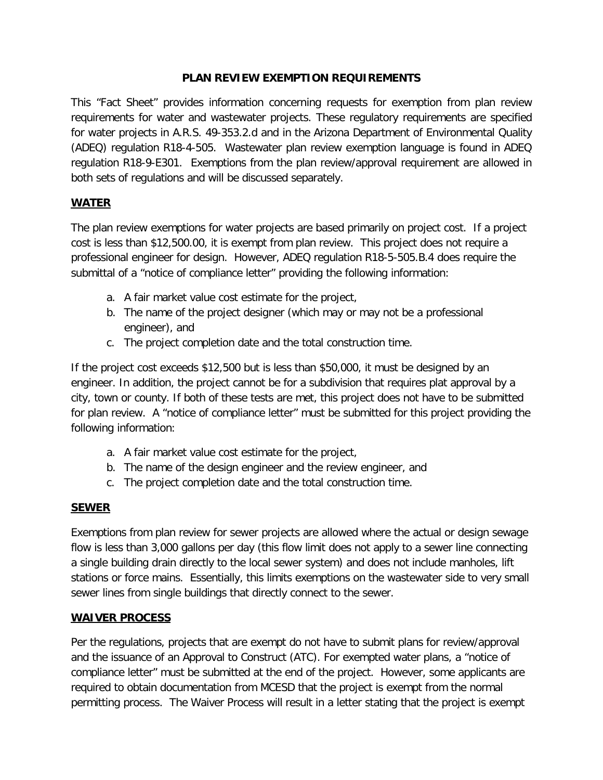## **PLAN REVIEW EXEMPTION REQUIREMENTS**

This "Fact Sheet" provides information concerning requests for exemption from plan review requirements for water and wastewater projects. These regulatory requirements are specified for water projects in A.R.S. 49-353.2.d and in the Arizona Department of Environmental Quality (ADEQ) regulation R18-4-505. Wastewater plan review exemption language is found in ADEQ regulation R18-9-E301. Exemptions from the plan review/approval requirement are allowed in both sets of regulations and will be discussed separately.

## **WATER**

The plan review exemptions for water projects are based primarily on project cost. If a project cost is less than \$12,500.00, it is exempt from plan review. This project does not require a professional engineer for design. However, ADEQ regulation R18-5-505.B.4 does require the submittal of a "notice of compliance letter" providing the following information:

- a. A fair market value cost estimate for the project,
- b. The name of the project designer (which may or may not be a professional engineer), and
- c. The project completion date and the total construction time.

If the project cost exceeds \$12,500 but is less than \$50,000, it must be designed by an engineer. In addition, the project cannot be for a subdivision that requires plat approval by a city, town or county. If both of these tests are met, this project does not have to be submitted for plan review. A "notice of compliance letter" must be submitted for this project providing the following information:

- a. A fair market value cost estimate for the project,
- b. The name of the design engineer and the review engineer, and
- c. The project completion date and the total construction time.

## **SEWER**

Exemptions from plan review for sewer projects are allowed where the actual or design sewage flow is less than 3,000 gallons per day (this flow limit does not apply to a sewer line connecting a single building drain directly to the local sewer system) and does not include manholes, lift stations or force mains. Essentially, this limits exemptions on the wastewater side to very small sewer lines from single buildings that directly connect to the sewer.

## **WAIVER PROCESS**

Per the regulations, projects that are exempt do not have to submit plans for review/approval and the issuance of an Approval to Construct (ATC). For exempted water plans, a "notice of compliance letter" must be submitted at the end of the project. However, some applicants are required to obtain documentation from MCESD that the project is exempt from the normal permitting process. The Waiver Process will result in a letter stating that the project is exempt